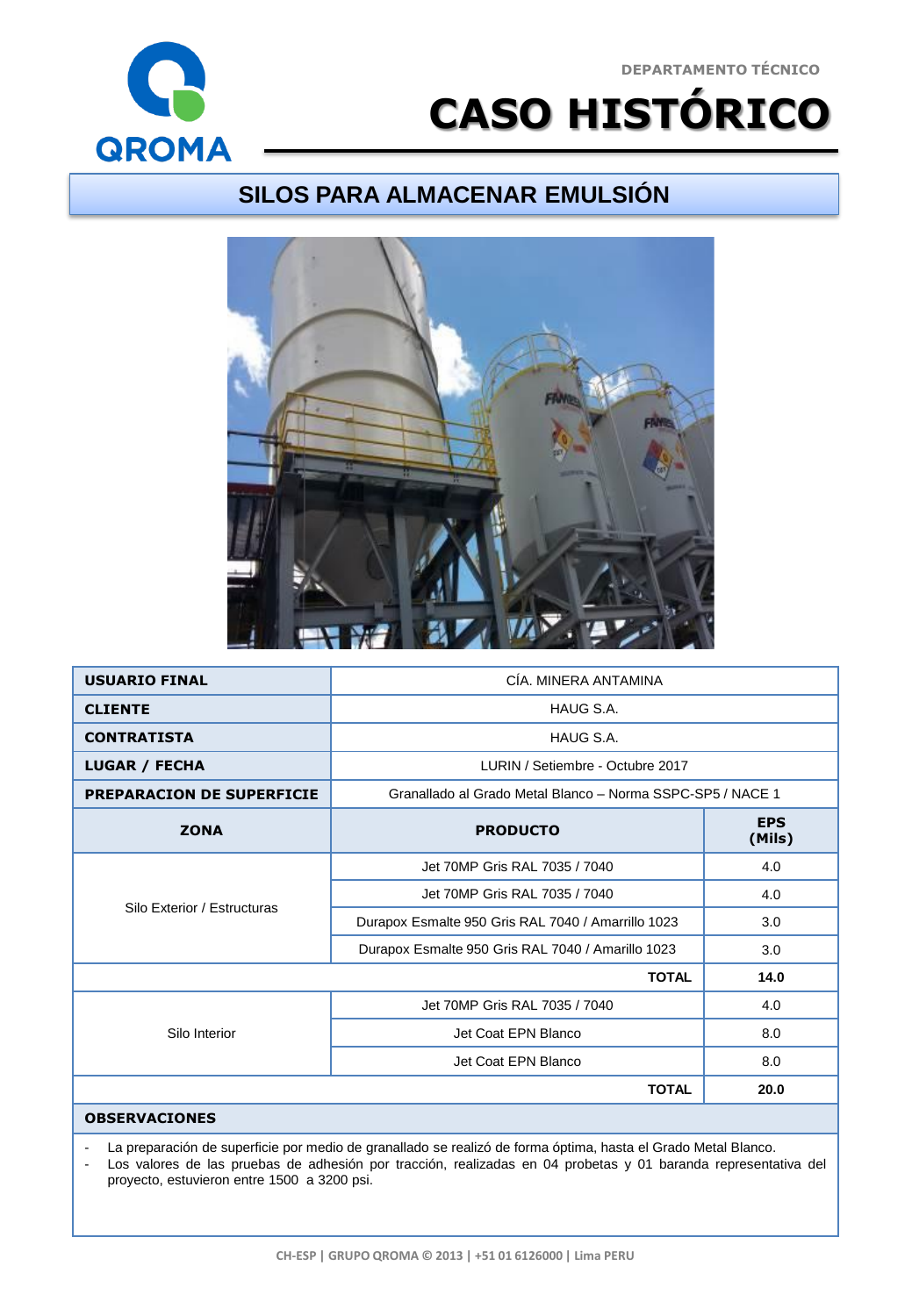## **DEPARTAMENTO TÉCNICO**



## **CASO HISTÓRICO**

## **SILOS PARA ALMACENAR EMULSIÓN**



| <b>USUARIO FINAL</b>             | CÍA, MINERA ANTAMINA                                       |                      |
|----------------------------------|------------------------------------------------------------|----------------------|
| <b>CLIENTE</b>                   | HAUG S.A.                                                  |                      |
| <b>CONTRATISTA</b>               | HAUG S.A.                                                  |                      |
| <b>LUGAR / FECHA</b>             | LURIN / Setiembre - Octubre 2017                           |                      |
| <b>PREPARACION DE SUPERFICIE</b> | Granallado al Grado Metal Blanco - Norma SSPC-SP5 / NACE 1 |                      |
| <b>ZONA</b>                      | <b>PRODUCTO</b>                                            | <b>EPS</b><br>(Mils) |
| Silo Exterior / Estructuras      | Jet 70MP Gris RAL 7035 / 7040                              | 4.0                  |
|                                  | Jet 70MP Gris RAL 7035 / 7040                              | 4.0                  |
|                                  | Durapox Esmalte 950 Gris RAL 7040 / Amarrillo 1023         | 3.0                  |
|                                  | Durapox Esmalte 950 Gris RAL 7040 / Amarillo 1023          | 3.0                  |
|                                  | <b>TOTAL</b>                                               | 14.0                 |
| Silo Interior                    | Jet 70MP Gris RAL 7035 / 7040                              | 4.0                  |
|                                  | Jet Coat EPN Blanco                                        | 8.0                  |
|                                  | Jet Coat EPN Blanco                                        | 8.0                  |
|                                  | <b>TOTAL</b>                                               | 20.0                 |
| <b>OBSERVACIONES</b>             |                                                            |                      |

La preparación de superficie por medio de granallado se realizó de forma óptima, hasta el Grado Metal Blanco.

- Los valores de las pruebas de adhesión por tracción, realizadas en 04 probetas y 01 baranda representativa del proyecto, estuvieron entre 1500 a 3200 psi.